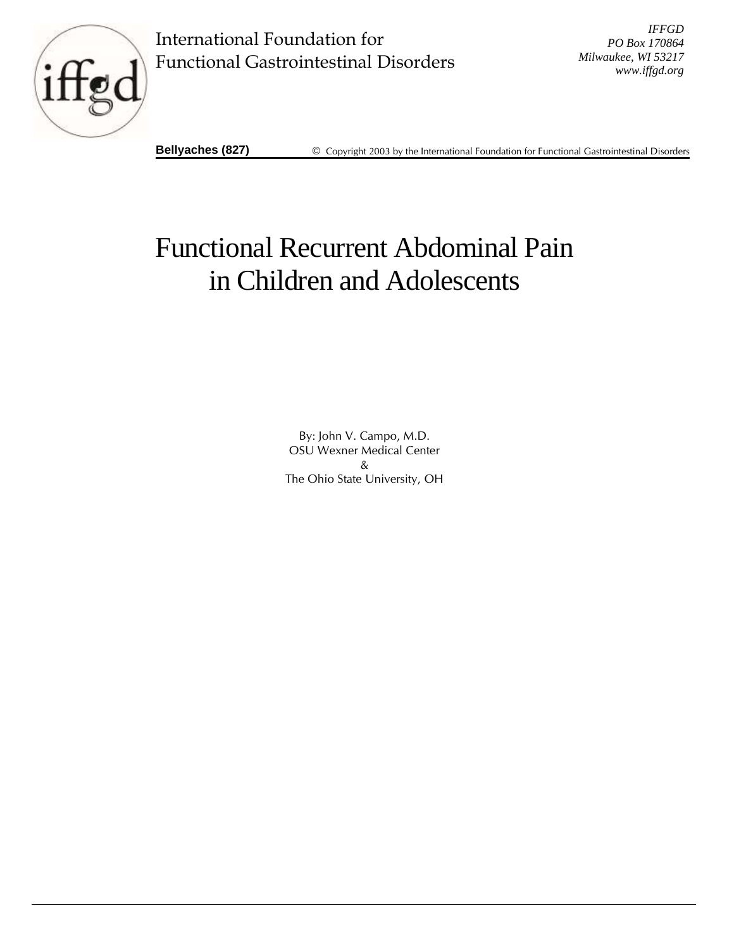

International Foundation for Functional Gastrointestinal Disorders

*IFFGD PO Box 170864 Milwaukee, WI 53217 www.iffgd.org*

**Bellyaches (827)** © Copyright 2003 by the International Foundation for Functional Gastrointestinal Disorders

# Functional Recurrent Abdominal Pain in Children and Adolescents

By: John V. Campo, M.D. OSU Wexner Medical Center & The Ohio State University, OH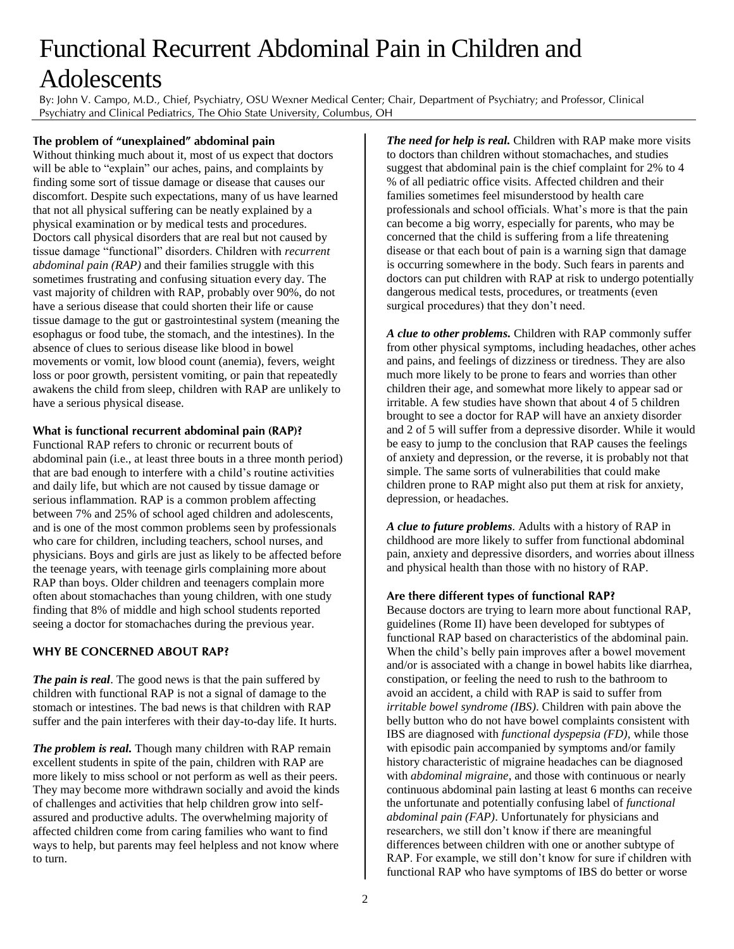## Functional Recurrent Abdominal Pain in Children and **Adolescents**

By: John V. Campo, M.D., Chief, Psychiatry, OSU Wexner Medical Center; Chair, Department of Psychiatry; and Professor, Clinical Psychiatry and Clinical Pediatrics, The Ohio State University, Columbus, OH

#### **The problem of "unexplained" abdominal pain**

Without thinking much about it, most of us expect that doctors will be able to "explain" our aches, pains, and complaints by finding some sort of tissue damage or disease that causes our discomfort. Despite such expectations, many of us have learned that not all physical suffering can be neatly explained by a physical examination or by medical tests and procedures. Doctors call physical disorders that are real but not caused by tissue damage "functional" disorders. Children with *recurrent abdominal pain (RAP)* and their families struggle with this sometimes frustrating and confusing situation every day. The vast majority of children with RAP, probably over 90%, do not have a serious disease that could shorten their life or cause tissue damage to the gut or gastrointestinal system (meaning the esophagus or food tube, the stomach, and the intestines). In the absence of clues to serious disease like blood in bowel movements or vomit, low blood count (anemia), fevers, weight loss or poor growth, persistent vomiting, or pain that repeatedly awakens the child from sleep, children with RAP are unlikely to have a serious physical disease.

#### **What is functional recurrent abdominal pain (RAP)?**

Functional RAP refers to chronic or recurrent bouts of abdominal pain (i.e., at least three bouts in a three month period) that are bad enough to interfere with a child's routine activities and daily life, but which are not caused by tissue damage or serious inflammation. RAP is a common problem affecting between 7% and 25% of school aged children and adolescents, and is one of the most common problems seen by professionals who care for children, including teachers, school nurses, and physicians. Boys and girls are just as likely to be affected before the teenage years, with teenage girls complaining more about RAP than boys. Older children and teenagers complain more often about stomachaches than young children, with one study finding that 8% of middle and high school students reported seeing a doctor for stomachaches during the previous year.

#### **WHY BE CONCERNED ABOUT RAP?**

*The pain is real*. The good news is that the pain suffered by children with functional RAP is not a signal of damage to the stomach or intestines. The bad news is that children with RAP suffer and the pain interferes with their day-to-day life. It hurts.

*The problem is real.* Though many children with RAP remain excellent students in spite of the pain, children with RAP are more likely to miss school or not perform as well as their peers. They may become more withdrawn socially and avoid the kinds of challenges and activities that help children grow into selfassured and productive adults. The overwhelming majority of affected children come from caring families who want to find ways to help, but parents may feel helpless and not know where to turn.

*The need for help is real.* Children with RAP make more visits to doctors than children without stomachaches, and studies suggest that abdominal pain is the chief complaint for 2% to 4 % of all pediatric office visits. Affected children and their families sometimes feel misunderstood by health care professionals and school officials. What's more is that the pain can become a big worry, especially for parents, who may be concerned that the child is suffering from a life threatening disease or that each bout of pain is a warning sign that damage is occurring somewhere in the body. Such fears in parents and doctors can put children with RAP at risk to undergo potentially dangerous medical tests, procedures, or treatments (even surgical procedures) that they don't need.

*A clue to other problems.* Children with RAP commonly suffer from other physical symptoms, including headaches, other aches and pains, and feelings of dizziness or tiredness. They are also much more likely to be prone to fears and worries than other children their age, and somewhat more likely to appear sad or irritable. A few studies have shown that about 4 of 5 children brought to see a doctor for RAP will have an anxiety disorder and 2 of 5 will suffer from a depressive disorder. While it would be easy to jump to the conclusion that RAP causes the feelings of anxiety and depression, or the reverse, it is probably not that simple. The same sorts of vulnerabilities that could make children prone to RAP might also put them at risk for anxiety, depression, or headaches.

*A clue to future problems.* Adults with a history of RAP in childhood are more likely to suffer from functional abdominal pain, anxiety and depressive disorders, and worries about illness and physical health than those with no history of RAP.

#### **Are there different types of functional RAP?**

Because doctors are trying to learn more about functional RAP, guidelines (Rome II) have been developed for subtypes of functional RAP based on characteristics of the abdominal pain. When the child's belly pain improves after a bowel movement and/or is associated with a change in bowel habits like diarrhea, constipation, or feeling the need to rush to the bathroom to avoid an accident, a child with RAP is said to suffer from *irritable bowel syndrome (IBS)*. Children with pain above the belly button who do not have bowel complaints consistent with IBS are diagnosed with *functional dyspepsia (FD)*, while those with episodic pain accompanied by symptoms and/or family history characteristic of migraine headaches can be diagnosed with *abdominal migraine*, and those with continuous or nearly continuous abdominal pain lasting at least 6 months can receive the unfortunate and potentially confusing label of *functional abdominal pain (FAP)*. Unfortunately for physicians and researchers, we still don't know if there are meaningful differences between children with one or another subtype of RAP. For example, we still don't know for sure if children with functional RAP who have symptoms of IBS do better or worse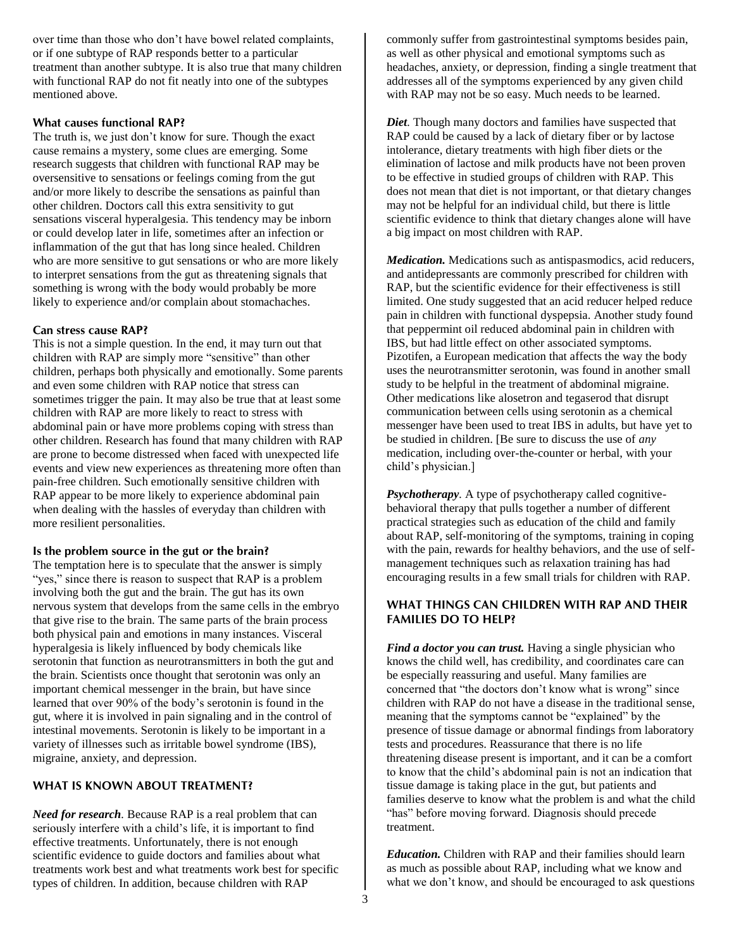over time than those who don't have bowel related complaints, or if one subtype of RAP responds better to a particular treatment than another subtype. It is also true that many children with functional RAP do not fit neatly into one of the subtypes mentioned above.

#### **What causes functional RAP?**

The truth is, we just don't know for sure. Though the exact cause remains a mystery, some clues are emerging. Some research suggests that children with functional RAP may be oversensitive to sensations or feelings coming from the gut and/or more likely to describe the sensations as painful than other children. Doctors call this extra sensitivity to gut sensations visceral hyperalgesia. This tendency may be inborn or could develop later in life, sometimes after an infection or inflammation of the gut that has long since healed. Children who are more sensitive to gut sensations or who are more likely to interpret sensations from the gut as threatening signals that something is wrong with the body would probably be more likely to experience and/or complain about stomachaches.

#### **Can stress cause RAP?**

This is not a simple question. In the end, it may turn out that children with RAP are simply more "sensitive" than other children, perhaps both physically and emotionally. Some parents and even some children with RAP notice that stress can sometimes trigger the pain. It may also be true that at least some children with RAP are more likely to react to stress with abdominal pain or have more problems coping with stress than other children. Research has found that many children with RAP are prone to become distressed when faced with unexpected life events and view new experiences as threatening more often than pain-free children. Such emotionally sensitive children with RAP appear to be more likely to experience abdominal pain when dealing with the hassles of everyday than children with more resilient personalities.

## **Is the problem source in the gut or the brain?**

The temptation here is to speculate that the answer is simply "yes," since there is reason to suspect that RAP is a problem involving both the gut and the brain. The gut has its own nervous system that develops from the same cells in the embryo that give rise to the brain. The same parts of the brain process both physical pain and emotions in many instances. Visceral hyperalgesia is likely influenced by body chemicals like serotonin that function as neurotransmitters in both the gut and the brain. Scientists once thought that serotonin was only an important chemical messenger in the brain, but have since learned that over 90% of the body's serotonin is found in the gut, where it is involved in pain signaling and in the control of intestinal movements. Serotonin is likely to be important in a variety of illnesses such as irritable bowel syndrome (IBS), migraine, anxiety, and depression.

### **WHAT IS KNOWN ABOUT TREATMENT?**

*Need for research.* Because RAP is a real problem that can seriously interfere with a child's life, it is important to find effective treatments. Unfortunately, there is not enough scientific evidence to guide doctors and families about what treatments work best and what treatments work best for specific types of children. In addition, because children with RAP

commonly suffer from gastrointestinal symptoms besides pain, as well as other physical and emotional symptoms such as headaches, anxiety, or depression, finding a single treatment that addresses all of the symptoms experienced by any given child with RAP may not be so easy. Much needs to be learned.

*Diet.* Though many doctors and families have suspected that RAP could be caused by a lack of dietary fiber or by lactose intolerance, dietary treatments with high fiber diets or the elimination of lactose and milk products have not been proven to be effective in studied groups of children with RAP. This does not mean that diet is not important, or that dietary changes may not be helpful for an individual child, but there is little scientific evidence to think that dietary changes alone will have a big impact on most children with RAP.

*Medication.* Medications such as antispasmodics, acid reducers, and antidepressants are commonly prescribed for children with RAP, but the scientific evidence for their effectiveness is still limited. One study suggested that an acid reducer helped reduce pain in children with functional dyspepsia. Another study found that peppermint oil reduced abdominal pain in children with IBS, but had little effect on other associated symptoms. Pizotifen, a European medication that affects the way the body uses the neurotransmitter serotonin, was found in another small study to be helpful in the treatment of abdominal migraine. Other medications like alosetron and tegaserod that disrupt communication between cells using serotonin as a chemical messenger have been used to treat IBS in adults, but have yet to be studied in children. [Be sure to discuss the use of *any*  medication, including over-the-counter or herbal, with your child's physician.]

*Psychotherapy.* A type of psychotherapy called cognitivebehavioral therapy that pulls together a number of different practical strategies such as education of the child and family about RAP, self-monitoring of the symptoms, training in coping with the pain, rewards for healthy behaviors, and the use of selfmanagement techniques such as relaxation training has had encouraging results in a few small trials for children with RAP.

#### **WHAT THINGS CAN CHILDREN WITH RAP AND THEIR FAMILIES DO TO HELP?**

*Find a doctor you can trust.* Having a single physician who knows the child well, has credibility, and coordinates care can be especially reassuring and useful. Many families are concerned that "the doctors don't know what is wrong" since children with RAP do not have a disease in the traditional sense, meaning that the symptoms cannot be "explained" by the presence of tissue damage or abnormal findings from laboratory tests and procedures. Reassurance that there is no life threatening disease present is important, and it can be a comfort to know that the child's abdominal pain is not an indication that tissue damage is taking place in the gut, but patients and families deserve to know what the problem is and what the child "has" before moving forward. Diagnosis should precede treatment.

*Education.* Children with RAP and their families should learn as much as possible about RAP, including what we know and what we don't know, and should be encouraged to ask questions